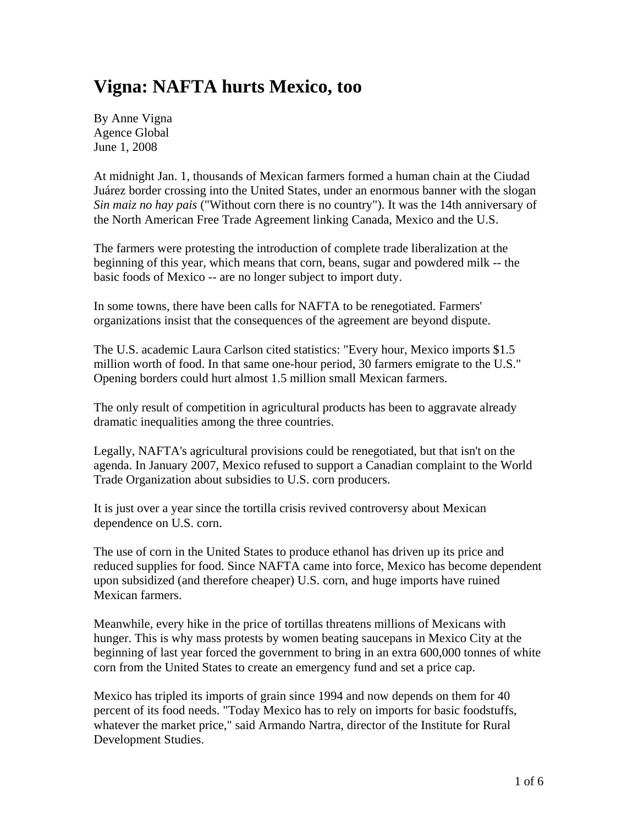# **Vigna: NAFTA hurts Mexico, too**

By Anne Vigna Agence Global June 1, 2008

At midnight Jan. 1, thousands of Mexican farmers formed a human chain at the Ciudad Juárez border crossing into the United States, under an enormous banner with the slogan *Sin maiz no hay pais* ("Without corn there is no country"). It was the 14th anniversary of the North American Free Trade Agreement linking Canada, Mexico and the U.S.

The farmers were protesting the introduction of complete trade liberalization at the beginning of this year, which means that corn, beans, sugar and powdered milk -- the basic foods of Mexico -- are no longer subject to import duty.

In some towns, there have been calls for NAFTA to be renegotiated. Farmers' organizations insist that the consequences of the agreement are beyond dispute.

The U.S. academic Laura Carlson cited statistics: "Every hour, Mexico imports \$1.5 million worth of food. In that same one-hour period, 30 farmers emigrate to the U.S." Opening borders could hurt almost 1.5 million small Mexican farmers.

The only result of competition in agricultural products has been to aggravate already dramatic inequalities among the three countries.

Legally, NAFTA's agricultural provisions could be renegotiated, but that isn't on the agenda. In January 2007, Mexico refused to support a Canadian complaint to the World Trade Organization about subsidies to U.S. corn producers.

It is just over a year since the tortilla crisis revived controversy about Mexican dependence on U.S. corn.

The use of corn in the United States to produce ethanol has driven up its price and reduced supplies for food. Since NAFTA came into force, Mexico has become dependent upon subsidized (and therefore cheaper) U.S. corn, and huge imports have ruined Mexican farmers.

Meanwhile, every hike in the price of tortillas threatens millions of Mexicans with hunger. This is why mass protests by women beating saucepans in Mexico City at the beginning of last year forced the government to bring in an extra 600,000 tonnes of white corn from the United States to create an emergency fund and set a price cap.

Mexico has tripled its imports of grain since 1994 and now depends on them for 40 percent of its food needs. "Today Mexico has to rely on imports for basic foodstuffs, whatever the market price," said Armando Nartra, director of the Institute for Rural Development Studies.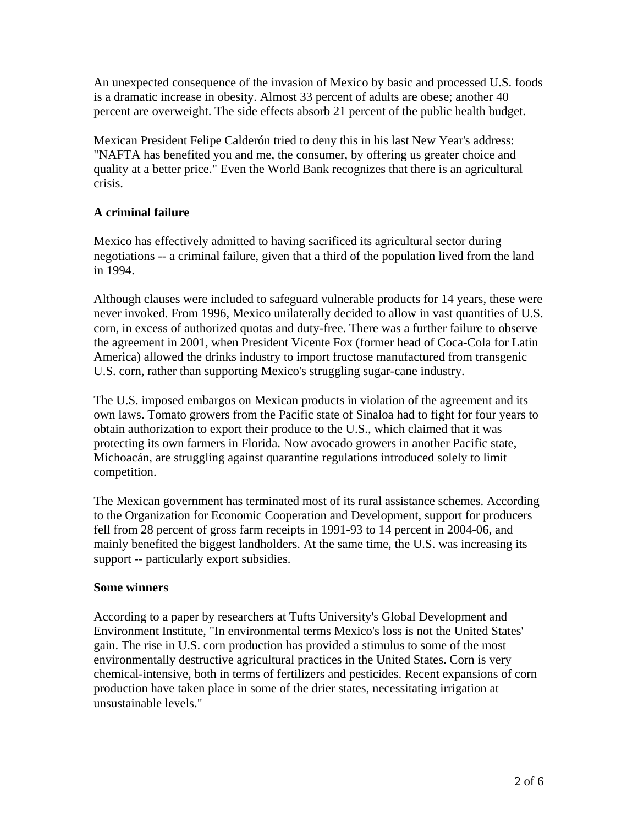An unexpected consequence of the invasion of Mexico by basic and processed U.S. foods is a dramatic increase in obesity. Almost 33 percent of adults are obese; another 40 percent are overweight. The side effects absorb 21 percent of the public health budget.

Mexican President Felipe Calderón tried to deny this in his last New Year's address: "NAFTA has benefited you and me, the consumer, by offering us greater choice and quality at a better price." Even the World Bank recognizes that there is an agricultural crisis.

## **A criminal failure**

Mexico has effectively admitted to having sacrificed its agricultural sector during negotiations -- a criminal failure, given that a third of the population lived from the land in 1994.

Although clauses were included to safeguard vulnerable products for 14 years, these were never invoked. From 1996, Mexico unilaterally decided to allow in vast quantities of U.S. corn, in excess of authorized quotas and duty-free. There was a further failure to observe the agreement in 2001, when President Vicente Fox (former head of Coca-Cola for Latin America) allowed the drinks industry to import fructose manufactured from transgenic U.S. corn, rather than supporting Mexico's struggling sugar-cane industry.

The U.S. imposed embargos on Mexican products in violation of the agreement and its own laws. Tomato growers from the Pacific state of Sinaloa had to fight for four years to obtain authorization to export their produce to the U.S., which claimed that it was protecting its own farmers in Florida. Now avocado growers in another Pacific state, Michoacán, are struggling against quarantine regulations introduced solely to limit competition.

The Mexican government has terminated most of its rural assistance schemes. According to the Organization for Economic Cooperation and Development, support for producers fell from 28 percent of gross farm receipts in 1991-93 to 14 percent in 2004-06, and mainly benefited the biggest landholders. At the same time, the U.S. was increasing its support -- particularly export subsidies.

### **Some winners**

According to a paper by researchers at Tufts University's Global Development and Environment Institute, "In environmental terms Mexico's loss is not the United States' gain. The rise in U.S. corn production has provided a stimulus to some of the most environmentally destructive agricultural practices in the United States. Corn is very chemical-intensive, both in terms of fertilizers and pesticides. Recent expansions of corn production have taken place in some of the drier states, necessitating irrigation at unsustainable levels."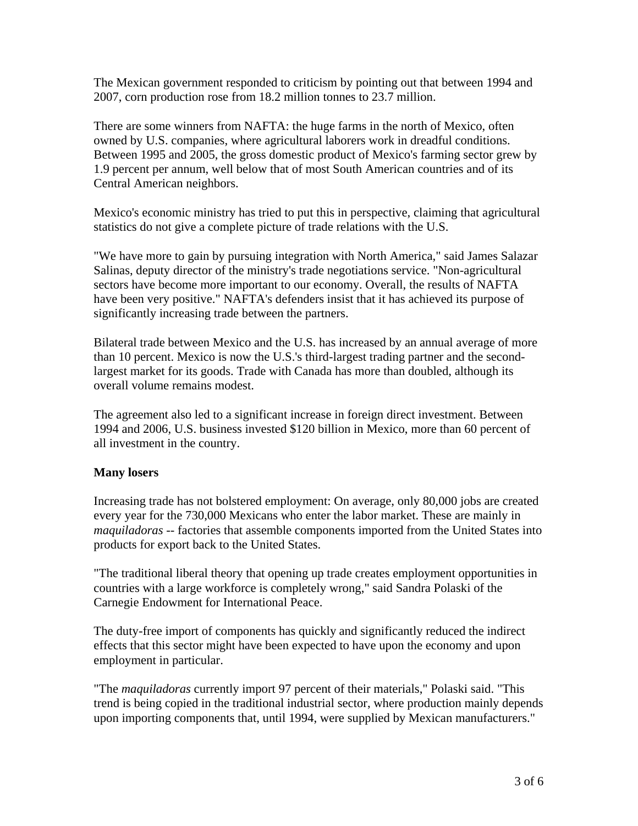The Mexican government responded to criticism by pointing out that between 1994 and 2007, corn production rose from 18.2 million tonnes to 23.7 million.

There are some winners from NAFTA: the huge farms in the north of Mexico, often owned by U.S. companies, where agricultural laborers work in dreadful conditions. Between 1995 and 2005, the gross domestic product of Mexico's farming sector grew by 1.9 percent per annum, well below that of most South American countries and of its Central American neighbors.

Mexico's economic ministry has tried to put this in perspective, claiming that agricultural statistics do not give a complete picture of trade relations with the U.S.

"We have more to gain by pursuing integration with North America," said James Salazar Salinas, deputy director of the ministry's trade negotiations service. "Non-agricultural sectors have become more important to our economy. Overall, the results of NAFTA have been very positive." NAFTA's defenders insist that it has achieved its purpose of significantly increasing trade between the partners.

Bilateral trade between Mexico and the U.S. has increased by an annual average of more than 10 percent. Mexico is now the U.S.'s third-largest trading partner and the secondlargest market for its goods. Trade with Canada has more than doubled, although its overall volume remains modest.

The agreement also led to a significant increase in foreign direct investment. Between 1994 and 2006, U.S. business invested \$120 billion in Mexico, more than 60 percent of all investment in the country.

### **Many losers**

Increasing trade has not bolstered employment: On average, only 80,000 jobs are created every year for the 730,000 Mexicans who enter the labor market. These are mainly in *maquiladoras* -- factories that assemble components imported from the United States into products for export back to the United States.

"The traditional liberal theory that opening up trade creates employment opportunities in countries with a large workforce is completely wrong," said Sandra Polaski of the Carnegie Endowment for International Peace.

The duty-free import of components has quickly and significantly reduced the indirect effects that this sector might have been expected to have upon the economy and upon employment in particular.

"The *maquiladoras* currently import 97 percent of their materials," Polaski said. "This trend is being copied in the traditional industrial sector, where production mainly depends upon importing components that, until 1994, were supplied by Mexican manufacturers."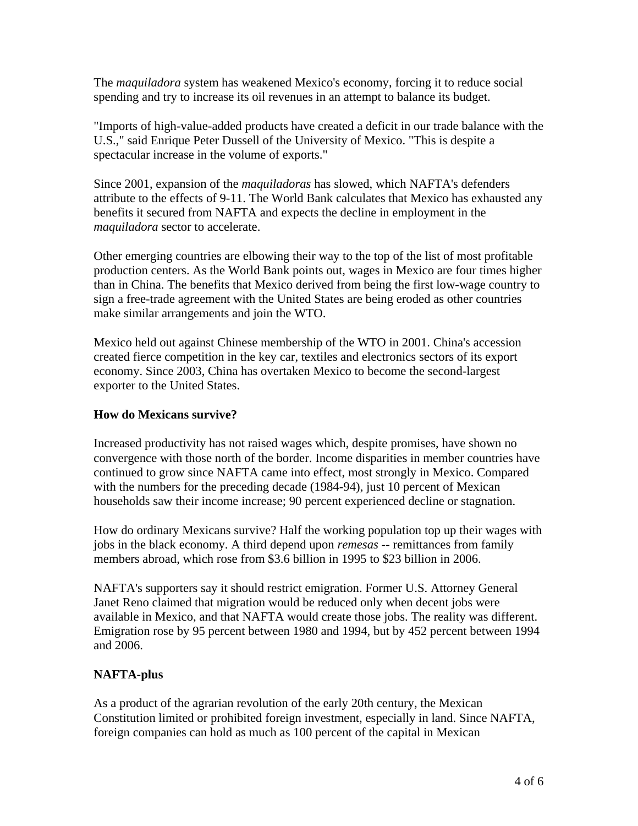The *maquiladora* system has weakened Mexico's economy, forcing it to reduce social spending and try to increase its oil revenues in an attempt to balance its budget.

"Imports of high-value-added products have created a deficit in our trade balance with the U.S.," said Enrique Peter Dussell of the University of Mexico. "This is despite a spectacular increase in the volume of exports."

Since 2001, expansion of the *maquiladoras* has slowed, which NAFTA's defenders attribute to the effects of 9-11. The World Bank calculates that Mexico has exhausted any benefits it secured from NAFTA and expects the decline in employment in the *maquiladora* sector to accelerate.

Other emerging countries are elbowing their way to the top of the list of most profitable production centers. As the World Bank points out, wages in Mexico are four times higher than in China. The benefits that Mexico derived from being the first low-wage country to sign a free-trade agreement with the United States are being eroded as other countries make similar arrangements and join the WTO.

Mexico held out against Chinese membership of the WTO in 2001. China's accession created fierce competition in the key car, textiles and electronics sectors of its export economy. Since 2003, China has overtaken Mexico to become the second-largest exporter to the United States.

#### **How do Mexicans survive?**

Increased productivity has not raised wages which, despite promises, have shown no convergence with those north of the border. Income disparities in member countries have continued to grow since NAFTA came into effect, most strongly in Mexico. Compared with the numbers for the preceding decade (1984-94), just 10 percent of Mexican households saw their income increase; 90 percent experienced decline or stagnation.

How do ordinary Mexicans survive? Half the working population top up their wages with jobs in the black economy. A third depend upon *remesas* -- remittances from family members abroad, which rose from \$3.6 billion in 1995 to \$23 billion in 2006.

NAFTA's supporters say it should restrict emigration. Former U.S. Attorney General Janet Reno claimed that migration would be reduced only when decent jobs were available in Mexico, and that NAFTA would create those jobs. The reality was different. Emigration rose by 95 percent between 1980 and 1994, but by 452 percent between 1994 and 2006.

### **NAFTA-plus**

As a product of the agrarian revolution of the early 20th century, the Mexican Constitution limited or prohibited foreign investment, especially in land. Since NAFTA, foreign companies can hold as much as 100 percent of the capital in Mexican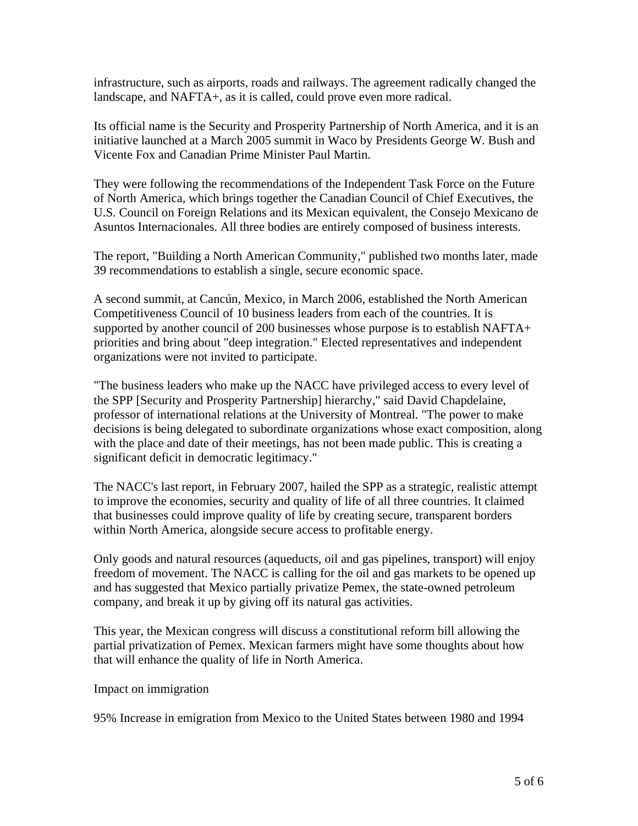infrastructure, such as airports, roads and railways. The agreement radically changed the landscape, and NAFTA+, as it is called, could prove even more radical.

Its official name is the Security and Prosperity Partnership of North America, and it is an initiative launched at a March 2005 summit in Waco by Presidents George W. Bush and Vicente Fox and Canadian Prime Minister Paul Martin.

They were following the recommendations of the Independent Task Force on the Future of North America, which brings together the Canadian Council of Chief Executives, the U.S. Council on Foreign Relations and its Mexican equivalent, the Consejo Mexicano de Asuntos Internacionales. All three bodies are entirely composed of business interests.

The report, "Building a North American Community," published two months later, made 39 recommendations to establish a single, secure economic space.

A second summit, at Cancún, Mexico, in March 2006, established the North American Competitiveness Council of 10 business leaders from each of the countries. It is supported by another council of 200 businesses whose purpose is to establish NAFTA+ priorities and bring about "deep integration." Elected representatives and independent organizations were not invited to participate.

"The business leaders who make up the NACC have privileged access to every level of the SPP [Security and Prosperity Partnership] hierarchy," said David Chapdelaine, professor of international relations at the University of Montreal. "The power to make decisions is being delegated to subordinate organizations whose exact composition, along with the place and date of their meetings, has not been made public. This is creating a significant deficit in democratic legitimacy."

The NACC's last report, in February 2007, hailed the SPP as a strategic, realistic attempt to improve the economies, security and quality of life of all three countries. It claimed that businesses could improve quality of life by creating secure, transparent borders within North America, alongside secure access to profitable energy.

Only goods and natural resources (aqueducts, oil and gas pipelines, transport) will enjoy freedom of movement. The NACC is calling for the oil and gas markets to be opened up and has suggested that Mexico partially privatize Pemex, the state-owned petroleum company, and break it up by giving off its natural gas activities.

This year, the Mexican congress will discuss a constitutional reform bill allowing the partial privatization of Pemex. Mexican farmers might have some thoughts about how that will enhance the quality of life in North America.

Impact on immigration

95% Increase in emigration from Mexico to the United States between 1980 and 1994